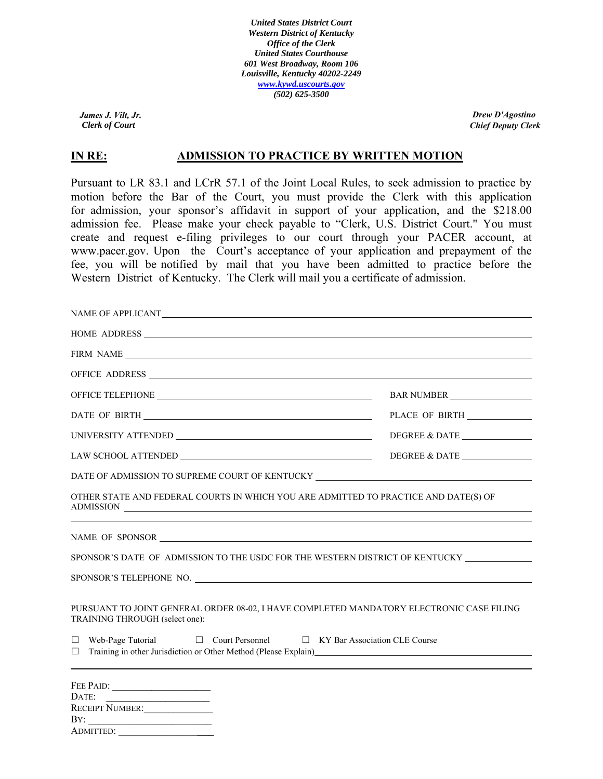*United States District Court Western District of Kentucky Office of the Clerk United States Courthouse 601 West Broadway, Room 106 Louisville, Kentucky 40202-2249 www.kywd.uscourts.gov (502) 625-3500*

*Clerk of Court James J. Vilt, Jr.*

ADMITTED:

*Chief Deputy Clerk Drew D'Agostino*

# **IN RE:** ADMISSION TO PRACTICE BY WRITTEN MOTION

Pursuant to LR 83.1 and LCrR 57.1 of the Joint Local Rules, to seek admission to practice by motion before the Bar of the Court, you must provide the Clerk with this application for admission, your sponsor's affidavit in support of your application, and the \$218.00 admission fee. Please make your check payable to "Clerk, U.S. District Court." You must create and request e-filing privileges to our court through your PACER account, at www.pacer.gov. Upon the Court's acceptance of your application and prepayment of the fee, you will be notified by mail that you have been admitted to practice before the Western District of Kentucky. The Clerk will mail you a certificate of admission.

| FIRM NAME                                                                                                                                                                                                                                                                                                                                                                                                                                                            |               |
|----------------------------------------------------------------------------------------------------------------------------------------------------------------------------------------------------------------------------------------------------------------------------------------------------------------------------------------------------------------------------------------------------------------------------------------------------------------------|---------------|
| OFFICE ADDRESS NATURAL CONTRACT AND A SERIES AND A SERIES OF THE SERIES OF THE SERIES OF THE SERIES OF THE SERIES OF THE SERIES OF THE SERIES OF THE SERIES OF THE SERIES OF THE SERIES OF THE SERIES OF THE SERIES OF THE SER                                                                                                                                                                                                                                       |               |
|                                                                                                                                                                                                                                                                                                                                                                                                                                                                      | BAR NUMBER    |
|                                                                                                                                                                                                                                                                                                                                                                                                                                                                      |               |
|                                                                                                                                                                                                                                                                                                                                                                                                                                                                      | DEGREE & DATE |
| $\text{LAW SCHOOL} \text{ATTENDED} \underline{\hspace{2cm} \text{ALMUMO}}$                                                                                                                                                                                                                                                                                                                                                                                           | DEGREE & DATE |
| DATE OF ADMISSION TO SUPREME COURT OF KENTUCKY __________________________________                                                                                                                                                                                                                                                                                                                                                                                    |               |
| OTHER STATE AND FEDERAL COURTS IN WHICH YOU ARE ADMITTED TO PRACTICE AND DATE(S) OF<br>ADMISSION                                                                                                                                                                                                                                                                                                                                                                     |               |
|                                                                                                                                                                                                                                                                                                                                                                                                                                                                      |               |
| SPONSOR'S DATE OF ADMISSION TO THE USDC FOR THE WESTERN DISTRICT OF KENTUCKY ___________                                                                                                                                                                                                                                                                                                                                                                             |               |
| SPONSOR'S TELEPHONE NO.                                                                                                                                                                                                                                                                                                                                                                                                                                              |               |
| PURSUANT TO JOINT GENERAL ORDER 08-02, I HAVE COMPLETED MANDATORY ELECTRONIC CASE FILING<br>TRAINING THROUGH (select one):<br>$\Box$ Web-Page Tutorial $\Box$ Court Personnel $\Box$ KY Bar Association CLE Course<br>Training in other Jurisdiction or Other Method (Please Explain)<br><u>Explainting</u> in the state of the state of the state of the state of the state of the state of the state of the state of the state of the state of the state<br>$\Box$ |               |
|                                                                                                                                                                                                                                                                                                                                                                                                                                                                      |               |
| FEE PAID:                                                                                                                                                                                                                                                                                                                                                                                                                                                            |               |
|                                                                                                                                                                                                                                                                                                                                                                                                                                                                      |               |
| RECEIPT NUMBER:<br>BY:                                                                                                                                                                                                                                                                                                                                                                                                                                               |               |
|                                                                                                                                                                                                                                                                                                                                                                                                                                                                      |               |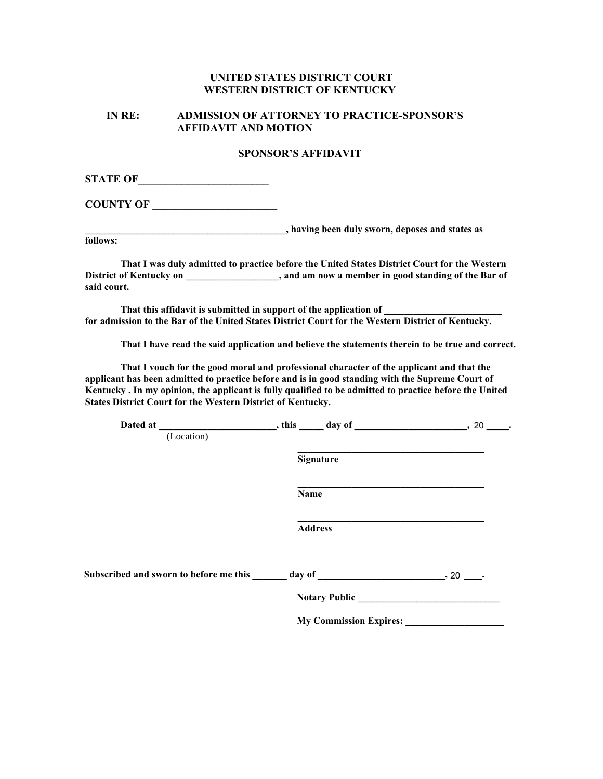### **UNITED STATES DISTRICT COURT WESTERN DISTRICT OF KENTUCKY**

### **IN RE: ADMISSION OF ATTORNEY TO PRACTICE-SPONSOR'S AFFIDAVIT AND MOTION**

#### **SPONSOR'S AFFIDAVIT**

**STATE OF\_\_\_\_\_\_\_\_\_\_\_\_\_\_\_\_\_\_\_\_\_\_\_\_**

**COUNTY OF \_\_\_\_\_\_\_\_\_\_\_\_\_\_\_\_\_\_\_\_\_\_\_** 

**\_\_\_\_\_\_\_\_\_\_\_\_\_\_\_\_\_\_\_\_\_\_\_\_\_\_\_\_\_\_\_\_\_\_\_\_\_\_\_\_\_, having been duly sworn, deposes and states as**

**follows:**

**That I was duly admitted to practice before the United States District Court for the Western District of Kentucky on \_\_\_\_\_\_\_\_\_\_\_\_\_\_\_\_\_\_\_, and am now a member in good standing of the Bar of said court.** 

That this affidavit is submitted in support of the application of **for admission to the Bar of the United States District Court for the Western District of Kentucky.** 

**That I have read the said application and believe the statements therein to be true and correct.** 

**That I vouch for the good moral and professional character of the applicant and that the applicant has been admitted to practice before and is in good standing with the Supreme Court of Kentucky . In my opinion, the applicant is fully qualified to be admitted to practice before the United States District Court for the Western District of Kentucky.** 

| Dated at                                                                                          | $, this \underline{\hspace{1cm}}$ day of $\underline{\hspace{1cm}}$ | $.20$ ______. |
|---------------------------------------------------------------------------------------------------|---------------------------------------------------------------------|---------------|
| (Location)                                                                                        |                                                                     |               |
|                                                                                                   | Signature                                                           |               |
|                                                                                                   | Name                                                                |               |
|                                                                                                   | <b>Address</b>                                                      |               |
| Subscribed and sworn to before me this $\_\_\_\_$ day of $\_\_\_\_\_\_$ $\_\_\_\_$ , 20 $\_\_\_\$ |                                                                     |               |
|                                                                                                   | <b>Notary Public</b>                                                |               |
|                                                                                                   | <b>My Commission Expires:</b>                                       |               |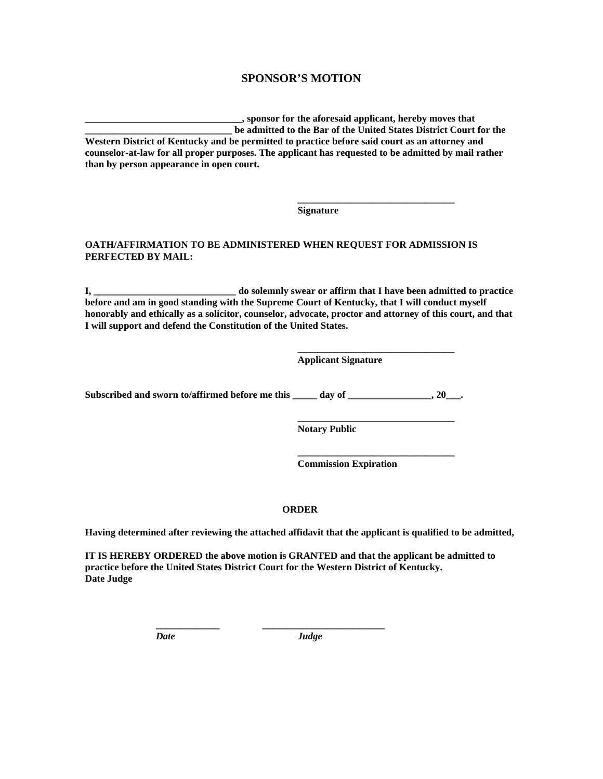### **SPONSOR'S MOTION**

**\_\_\_\_\_\_\_\_\_\_\_\_\_\_\_\_\_\_\_\_\_\_\_\_\_\_\_\_\_\_\_\_, sponsor for the aforesaid applicant, hereby moves that \_\_\_\_\_\_\_\_\_\_\_\_\_\_\_\_\_\_\_\_\_\_\_\_\_\_\_\_\_\_ be admitted to the Bar of the United States District Court for the Western District of Kentucky and be permitted to practice before said court as an attorney and counselor-at-law for all proper purposes. The applicant has requested to be admitted by mail rather than by person appearance in open court.** 

**Signature** 

**\_\_\_\_\_\_\_\_\_\_\_\_\_\_\_\_\_\_\_\_\_\_\_\_\_\_\_\_\_\_\_\_**

**\_\_\_\_\_\_\_\_\_\_\_\_\_\_\_\_\_\_\_\_\_\_\_\_\_\_\_\_\_\_\_\_**

**\_\_\_\_\_\_\_\_\_\_\_\_\_\_\_\_\_\_\_\_\_\_\_\_\_\_\_\_\_\_\_\_**

#### **OATH/AFFIRMATION TO BE ADMINISTERED WHEN REQUEST FOR ADMISSION IS PERFECTED BY MAIL:**

**I, \_\_\_\_\_\_\_\_\_\_\_\_\_\_\_\_\_\_\_\_\_\_\_\_\_\_\_\_\_ do solemnly swear or affirm that I have been admitted to practice before and am in good standing with the Supreme Court of Kentucky, that I will conduct myself honorably and ethically as a solicitor, counselor, advocate, proctor and attorney of this court, and that I will support and defend the Constitution of the United States.** 

**Applicant Signature** 

Subscribed and sworn to/affirmed before me this \_\_\_\_\_ day of \_\_\_\_\_\_\_\_\_\_\_\_\_\_\_\_\_\_\_, 20\_\_\_.

**\_\_\_\_\_\_\_\_\_\_\_\_\_\_\_\_\_\_\_\_\_\_\_\_\_\_\_\_\_\_\_\_ Notary Public**

**Commission Expiration**

#### **ORDER**

**Having determined after reviewing the attached affidavit that the applicant is qualified to be admitted,** 

**IT IS HEREBY ORDERED the above motion is GRANTED and that the applicant be admitted to practice before the United States District Court for the Western District of Kentucky. Date Judge** 

**\_\_\_\_\_\_\_\_\_\_\_\_\_ \_\_\_\_\_\_\_\_\_\_\_\_\_\_\_\_\_\_\_\_\_\_\_\_\_**

*Date Judge*